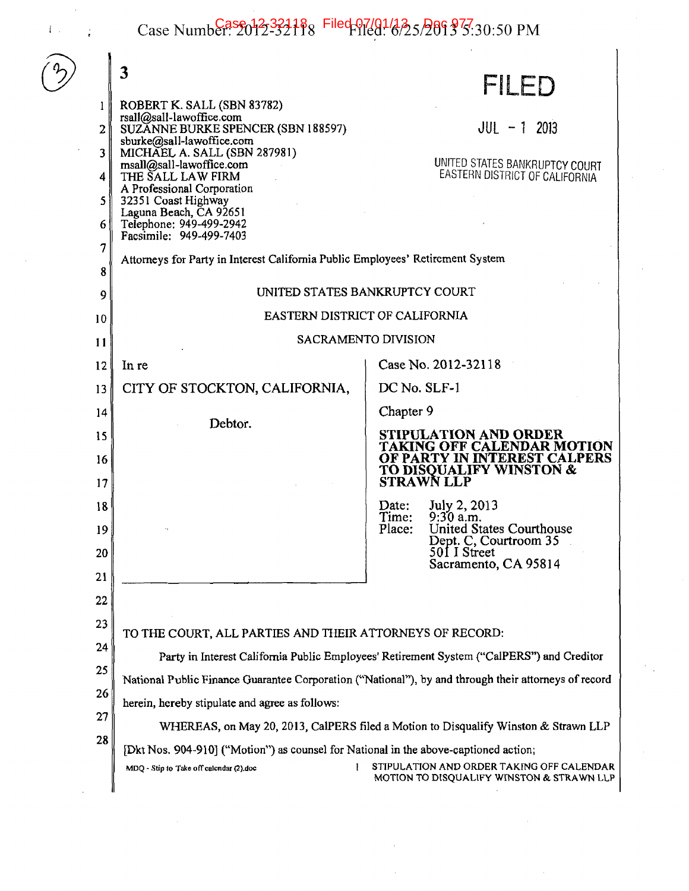Case Number: 2012-32188 Filed 97/01/23 5/289 3<sup>7</sup>5.30:50 PM

 $\bar{1}$  .

|                                                                | 3                                                                                                                                                                                                       | FILED                                                                                  |
|----------------------------------------------------------------|---------------------------------------------------------------------------------------------------------------------------------------------------------------------------------------------------------|----------------------------------------------------------------------------------------|
|                                                                | ROBERT K. SALL (SBN 83782)<br>rsall@sall-lawoffice.com                                                                                                                                                  |                                                                                        |
| 21                                                             | SUZĂNNE BURKE SPENCER (SBN 188597)<br>sburke@sall-lawoffice.com                                                                                                                                         | $JUL - 1$ 2013                                                                         |
| 3 <sup>1</sup>                                                 | MICHAEL A. SALL (SBN 287981)                                                                                                                                                                            | UNITED STATES BANKRUPTCY COURT                                                         |
| 4                                                              | msall@sall-lawoffice.com<br>THE SALL LAW FIRM                                                                                                                                                           | EASTERN DISTRICT OF CALIFORNIA                                                         |
| 5 <sup>1</sup>                                                 | A Professional Corporation<br>32351 Coast Highway                                                                                                                                                       |                                                                                        |
| 6 I                                                            | Laguna Beach, CA 92651<br>Telephone: 949-499-2942                                                                                                                                                       |                                                                                        |
| 7                                                              | Facsimile: 949-499-7403                                                                                                                                                                                 |                                                                                        |
| 8                                                              | Attorneys for Party in Interest California Public Employees' Retirement System                                                                                                                          |                                                                                        |
| 9                                                              | UNITED STATES BANKRUPTCY COURT                                                                                                                                                                          |                                                                                        |
| 10                                                             | EASTERN DISTRICT OF CALIFORNIA                                                                                                                                                                          |                                                                                        |
| 11                                                             | <b>SACRAMENTO DIVISION</b>                                                                                                                                                                              |                                                                                        |
| 12                                                             | In re                                                                                                                                                                                                   | Case No. 2012-32118                                                                    |
| 13                                                             | CITY OF STOCKTON, CALIFORNIA.                                                                                                                                                                           | DC No. SLF-1                                                                           |
| 14                                                             |                                                                                                                                                                                                         | Chapter 9                                                                              |
| 15                                                             | Debtor.                                                                                                                                                                                                 | STIPULATION AND ORDER                                                                  |
| 16                                                             |                                                                                                                                                                                                         | TAKING OFF CALENDAR MOTION<br>OF PARTY IN INTEREST CALPERS                             |
| 17                                                             |                                                                                                                                                                                                         | <b>TO DISQUALIFY WINSTON &amp;</b><br><b>STRAWN LLP</b>                                |
| 18                                                             |                                                                                                                                                                                                         | July 2, 2013<br>Date:                                                                  |
| 19                                                             |                                                                                                                                                                                                         | Time:<br>$9:30$ a.m.<br><b>United States Courthouse</b><br>Place:                      |
| 20 <sup>1</sup>                                                |                                                                                                                                                                                                         | Dept. C, Courtroom 35<br>501 I Street                                                  |
| 21                                                             |                                                                                                                                                                                                         | Sacramento, CA 95814                                                                   |
| 22                                                             |                                                                                                                                                                                                         |                                                                                        |
| 23                                                             |                                                                                                                                                                                                         |                                                                                        |
| TO THE COURT, ALL PARTIES AND THEIR ATTORNEYS OF RECORD:<br>24 |                                                                                                                                                                                                         |                                                                                        |
| 25                                                             | Party in Interest California Public Employees' Retirement System ("CalPERS") and Creditor<br>National Public Finance Guarantee Corporation ("National"), by and through their attorneys of record<br>26 |                                                                                        |
|                                                                |                                                                                                                                                                                                         |                                                                                        |
| 27                                                             | herein, hereby stipulate and agree as follows:                                                                                                                                                          |                                                                                        |
| 28                                                             | WHEREAS, on May 20, 2013, CalPERS filed a Motion to Disqualify Winston & Strawn LLP                                                                                                                     |                                                                                        |
|                                                                | [Dkt Nos. 904-910] ("Motion") as counsel for National in the above-captioned action;<br>MDQ - Stip to Take off calcudar (2) doc                                                                         | STIPULATION AND ORDER TAKING OFF CALENDAR<br>MOTION TO DISQUALIFY WINSTON & STRAWN LLP |
|                                                                |                                                                                                                                                                                                         |                                                                                        |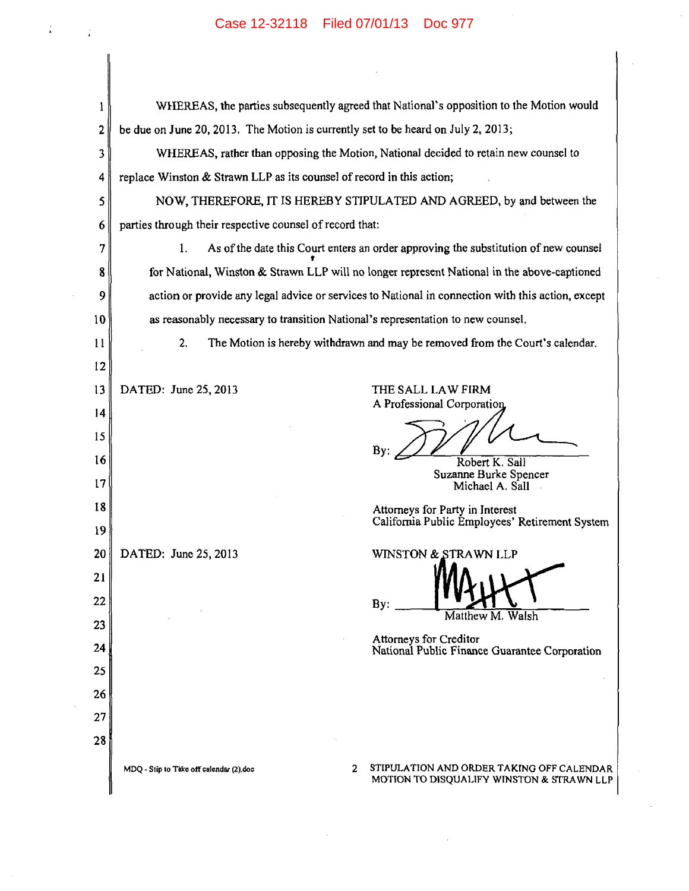## Case 12-32118 Filed 07/01/13 Doc 977

 $\sim$ 

 $T_{\rm eff} = 100$ 

 $\sim$ 

 $\mathcal{A}$ 

| l               | WHEREAS, the parties subsequently agreed that National's opposition to the Motion would                                                |  |
|-----------------|----------------------------------------------------------------------------------------------------------------------------------------|--|
| $\overline{2}$  | be due on June 20, 2013. The Motion is currently set to be heard on July 2, 2013;                                                      |  |
| 3               | WHEREAS, rather than opposing the Motion, National decided to retain new counsel to                                                    |  |
| 4               | replace Winston & Strawn LLP as its counsel of record in this action;                                                                  |  |
| 5               | NOW, THEREFORE, IT IS HEREBY STIPULATED AND AGREED, by and between the                                                                 |  |
| 6               | parties through their respective counsel of record that:                                                                               |  |
| 7               | As of the date this Court enters an order approving the substitution of new counsel<br>1.                                              |  |
| 8               | for National, Winston & Strawn LLP will no longer represent National in the above-captioned                                            |  |
| 9               | action or provide any legal advice or services to National in connection with this action, except                                      |  |
| 10              | as reasonably necessary to transition National's representation to new counsel.                                                        |  |
| 11              | 2.<br>The Motion is hereby withdrawn and may be removed from the Court's calendar.                                                     |  |
| $12 \,$         |                                                                                                                                        |  |
| 13              | DATED: June 25, 2013<br>THE SALL LAW FIRM<br>A Professional Corporation                                                                |  |
| $\overline{14}$ |                                                                                                                                        |  |
| 15              | By:                                                                                                                                    |  |
| 16              | Robert K. Sall<br>Suzanne Burke Spencer                                                                                                |  |
| 17              | Michael A. Sall                                                                                                                        |  |
| 18              | Attorneys for Party in Interest<br>California Public Employees' Retirement System                                                      |  |
| 19              |                                                                                                                                        |  |
| 20              | DATED: June 25, 2013<br>WINSTON & STRAWN LLP                                                                                           |  |
| 21<br>22        |                                                                                                                                        |  |
| 23              | By:<br>Matthew M. Walsh                                                                                                                |  |
| 24              | Attorneys for Creditor                                                                                                                 |  |
| 25              | National Public Finance Guarantee Corporation                                                                                          |  |
| 26              |                                                                                                                                        |  |
| 27              |                                                                                                                                        |  |
| 28              |                                                                                                                                        |  |
|                 | STIPULATION AND ORDER TAKING OFF CALENDAR<br>2<br>MDQ - Stip to Take off calendar (2) doc<br>MOTION TO DISQUALIFY WINSTON & STRAWN LLP |  |

 $\sim 10^{-1}$ 

 $\label{eq:2.1} \mathcal{L}_{\mathcal{A}}(x) = \mathcal{L}_{\mathcal{A}}(x) + \mathcal{L}_{\mathcal{A}}(x) + \mathcal{L}_{\mathcal{A}}(x) + \mathcal{L}_{\mathcal{A}}(x)$